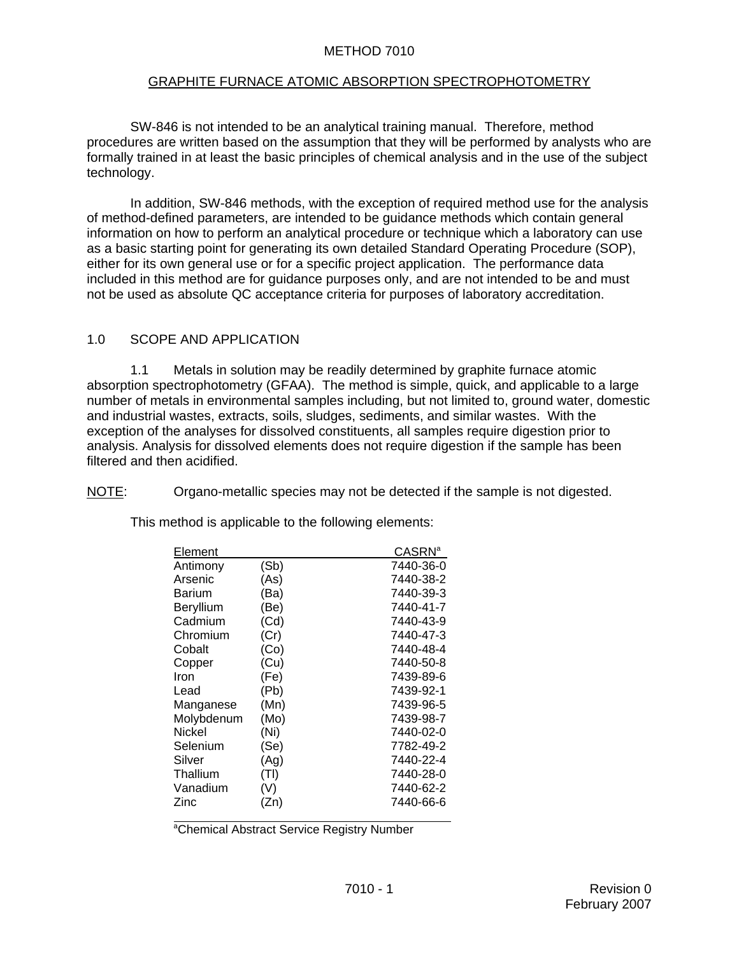#### METHOD 7010

#### GRAPHITE FURNACE ATOMIC ABSORPTION SPECTROPHOTOMETRY

 SW-846 is not intended to be an analytical training manual. Therefore, method procedures are written based on the assumption that they will be performed by analysts who are formally trained in at least the basic principles of chemical analysis and in the use of the subject technology.

In addition, SW-846 methods, with the exception of required method use for the analysis of method-defined parameters, are intended to be guidance methods which contain general information on how to perform an analytical procedure or technique which a laboratory can use as a basic starting point for generating its own detailed Standard Operating Procedure (SOP), either for its own general use or for a specific project application. The performance data included in this method are for guidance purposes only, and are not intended to be and must not be used as absolute QC acceptance criteria for purposes of laboratory accreditation.

#### 1.0 SCOPE AND APPLICATION

1.1 Metals in solution may be readily determined by graphite furnace atomic absorption spectrophotometry (GFAA). The method is simple, quick, and applicable to a large number of metals in environmental samples including, but not limited to, ground water, domestic and industrial wastes, extracts, soils, sludges, sediments, and similar wastes. With the exception of the analyses for dissolved constituents, all samples require digestion prior to analysis. Analysis for dissolved elements does not require digestion if the sample has been filtered and then acidified.

NOTE: Organo-metallic species may not be detected if the sample is not digested.

This method is applicable to the following elements:

| Element    |      | <b>CASRN<sup>a</sup></b> |
|------------|------|--------------------------|
| Antimony   | (Sb) | 7440-36-0                |
| Arsenic    | (As) | 7440-38-2                |
| Barium     | (Ba) | 7440-39-3                |
| Beryllium  | (Be) | 7440-41-7                |
| Cadmium    | (Cd) | 7440-43-9                |
| Chromium   | (Cr) | 7440-47-3                |
| Cobalt     | (Co) | 7440-48-4                |
| Copper     | (Cu) | 7440-50-8                |
| Iron       | (Fe) | 7439-89-6                |
| Lead       | (Pb) | 7439-92-1                |
| Manganese  | (Mn) | 7439-96-5                |
| Molybdenum | (Mo) | 7439-98-7                |
| Nickel     | (Ni) | 7440-02-0                |
| Selenium   | (Se) | 7782-49-2                |
| Silver     | (Aq) | 7440-22-4                |
| Thallium   | (TI) | 7440-28-0                |
| Vanadium   | (V)  | 7440-62-2                |
| Zinc       | (Zn) | 7440-66-6                |

a<br><sup>a</sup>Chemical Abstract Service Registry Number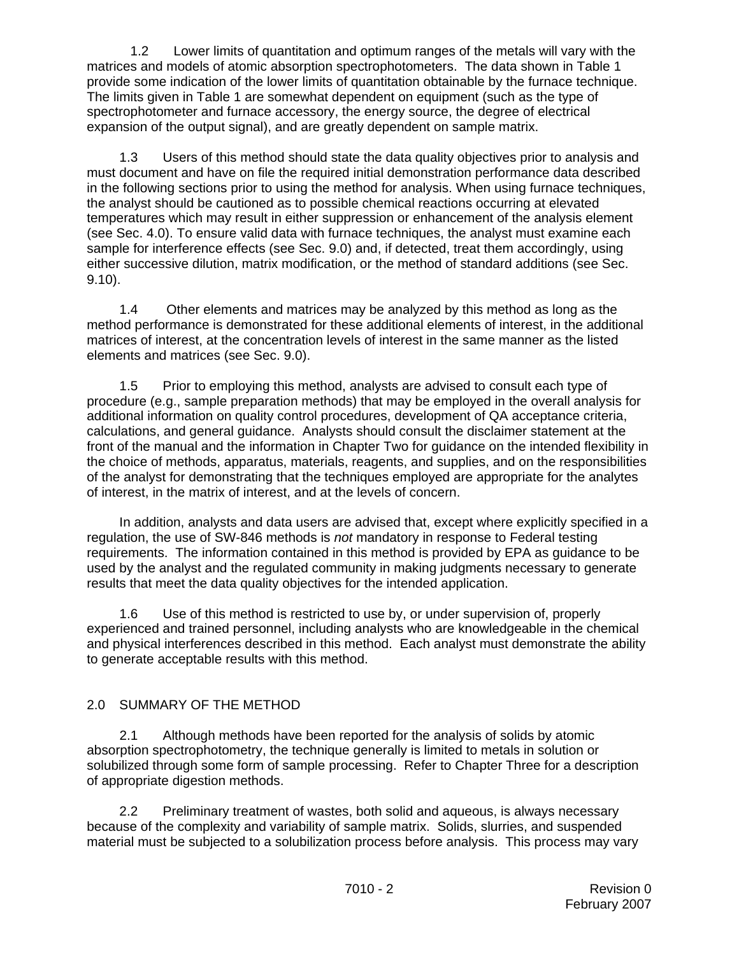1.2 Lower limits of quantitation and optimum ranges of the metals will vary with the matrices and models of atomic absorption spectrophotometers. The data shown in Table 1 provide some indication of the lower limits of quantitation obtainable by the furnace technique. The limits given in Table 1 are somewhat dependent on equipment (such as the type of spectrophotometer and furnace accessory, the energy source, the degree of electrical expansion of the output signal), and are greatly dependent on sample matrix.

1.3 Users of this method should state the data quality objectives prior to analysis and must document and have on file the required initial demonstration performance data described in the following sections prior to using the method for analysis. When using furnace techniques, the analyst should be cautioned as to possible chemical reactions occurring at elevated temperatures which may result in either suppression or enhancement of the analysis element (see Sec. 4.0). To ensure valid data with furnace techniques, the analyst must examine each sample for interference effects (see Sec. 9.0) and, if detected, treat them accordingly, using either successive dilution, matrix modification, or the method of standard additions (see Sec. 9.10).

1.4 Other elements and matrices may be analyzed by this method as long as the method performance is demonstrated for these additional elements of interest, in the additional matrices of interest, at the concentration levels of interest in the same manner as the listed elements and matrices (see Sec. 9.0).

1.5 Prior to employing this method, analysts are advised to consult each type of procedure (e.g., sample preparation methods) that may be employed in the overall analysis for additional information on quality control procedures, development of QA acceptance criteria, calculations, and general guidance. Analysts should consult the disclaimer statement at the front of the manual and the information in Chapter Two for guidance on the intended flexibility in the choice of methods, apparatus, materials, reagents, and supplies, and on the responsibilities of the analyst for demonstrating that the techniques employed are appropriate for the analytes of interest, in the matrix of interest, and at the levels of concern.

In addition, analysts and data users are advised that, except where explicitly specified in a regulation, the use of SW-846 methods is *not* mandatory in response to Federal testing requirements. The information contained in this method is provided by EPA as guidance to be used by the analyst and the regulated community in making judgments necessary to generate results that meet the data quality objectives for the intended application.

1.6 Use of this method is restricted to use by, or under supervision of, properly experienced and trained personnel, including analysts who are knowledgeable in the chemical and physical interferences described in this method. Each analyst must demonstrate the ability to generate acceptable results with this method.

# 2.0 SUMMARY OF THE METHOD

 2.1 Although methods have been reported for the analysis of solids by atomic absorption spectrophotometry, the technique generally is limited to metals in solution or solubilized through some form of sample processing. Refer to Chapter Three for a description of appropriate digestion methods.

2.2 Preliminary treatment of wastes, both solid and aqueous, is always necessary because of the complexity and variability of sample matrix. Solids, slurries, and suspended material must be subjected to a solubilization process before analysis. This process may vary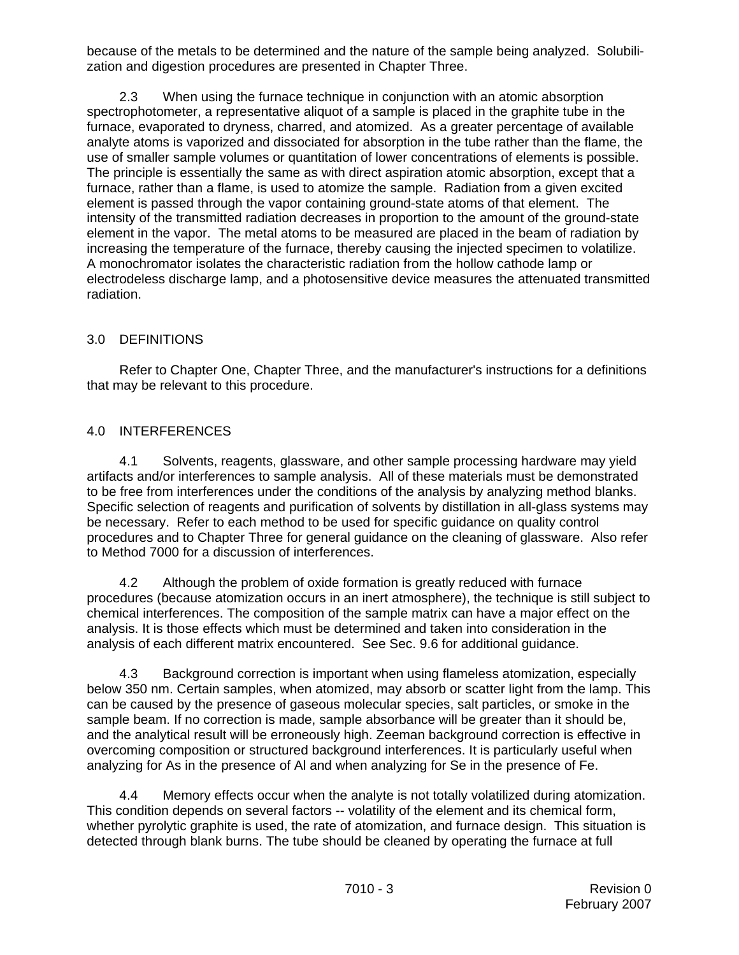because of the metals to be determined and the nature of the sample being analyzed. Solubilization and digestion procedures are presented in Chapter Three.

2.3 When using the furnace technique in conjunction with an atomic absorption spectrophotometer, a representative aliquot of a sample is placed in the graphite tube in the furnace, evaporated to dryness, charred, and atomized. As a greater percentage of available analyte atoms is vaporized and dissociated for absorption in the tube rather than the flame, the use of smaller sample volumes or quantitation of lower concentrations of elements is possible. The principle is essentially the same as with direct aspiration atomic absorption, except that a furnace, rather than a flame, is used to atomize the sample. Radiation from a given excited element is passed through the vapor containing ground-state atoms of that element. The intensity of the transmitted radiation decreases in proportion to the amount of the ground-state element in the vapor. The metal atoms to be measured are placed in the beam of radiation by increasing the temperature of the furnace, thereby causing the injected specimen to volatilize. A monochromator isolates the characteristic radiation from the hollow cathode lamp or electrodeless discharge lamp, and a photosensitive device measures the attenuated transmitted radiation.

## 3.0 DEFINITIONS

Refer to Chapter One, Chapter Three, and the manufacturer's instructions for a definitions that may be relevant to this procedure.

# 4.0 INTERFERENCES

4.1 Solvents, reagents, glassware, and other sample processing hardware may yield artifacts and/or interferences to sample analysis. All of these materials must be demonstrated to be free from interferences under the conditions of the analysis by analyzing method blanks. Specific selection of reagents and purification of solvents by distillation in all-glass systems may be necessary. Refer to each method to be used for specific guidance on quality control procedures and to Chapter Three for general guidance on the cleaning of glassware. Also refer to Method 7000 for a discussion of interferences.

4.2 Although the problem of oxide formation is greatly reduced with furnace procedures (because atomization occurs in an inert atmosphere), the technique is still subject to chemical interferences. The composition of the sample matrix can have a major effect on the analysis. It is those effects which must be determined and taken into consideration in the analysis of each different matrix encountered. See Sec. 9.6 for additional guidance.

4.3 Background correction is important when using flameless atomization, especially below 350 nm. Certain samples, when atomized, may absorb or scatter light from the lamp. This can be caused by the presence of gaseous molecular species, salt particles, or smoke in the sample beam. If no correction is made, sample absorbance will be greater than it should be, and the analytical result will be erroneously high. Zeeman background correction is effective in overcoming composition or structured background interferences. It is particularly useful when analyzing for As in the presence of Al and when analyzing for Se in the presence of Fe.

4.4 Memory effects occur when the analyte is not totally volatilized during atomization. This condition depends on several factors -- volatility of the element and its chemical form, whether pyrolytic graphite is used, the rate of atomization, and furnace design. This situation is detected through blank burns. The tube should be cleaned by operating the furnace at full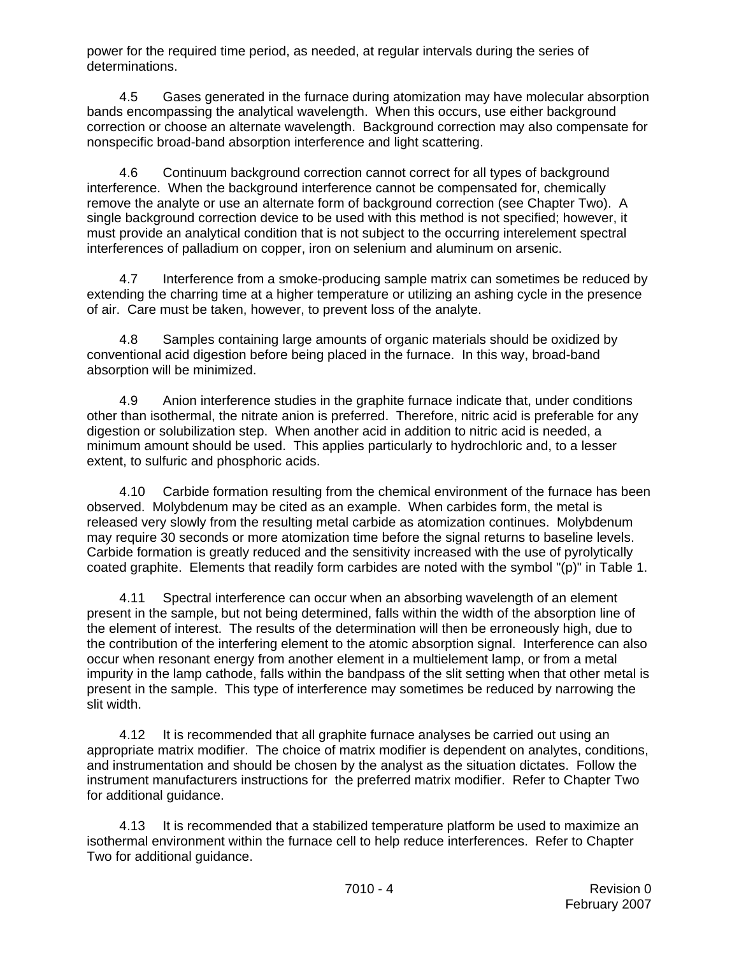power for the required time period, as needed, at regular intervals during the series of determinations.

4.5 Gases generated in the furnace during atomization may have molecular absorption bands encompassing the analytical wavelength. When this occurs, use either background correction or choose an alternate wavelength. Background correction may also compensate for nonspecific broad-band absorption interference and light scattering.

4.6 Continuum background correction cannot correct for all types of background interference. When the background interference cannot be compensated for, chemically remove the analyte or use an alternate form of background correction (see Chapter Two). A single background correction device to be used with this method is not specified; however, it must provide an analytical condition that is not subject to the occurring interelement spectral interferences of palladium on copper, iron on selenium and aluminum on arsenic.

4.7 Interference from a smoke-producing sample matrix can sometimes be reduced by extending the charring time at a higher temperature or utilizing an ashing cycle in the presence of air. Care must be taken, however, to prevent loss of the analyte.

4.8 Samples containing large amounts of organic materials should be oxidized by conventional acid digestion before being placed in the furnace. In this way, broad-band absorption will be minimized.

4.9 Anion interference studies in the graphite furnace indicate that, under conditions other than isothermal, the nitrate anion is preferred. Therefore, nitric acid is preferable for any digestion or solubilization step. When another acid in addition to nitric acid is needed, a minimum amount should be used. This applies particularly to hydrochloric and, to a lesser extent, to sulfuric and phosphoric acids.

4.10 Carbide formation resulting from the chemical environment of the furnace has been observed. Molybdenum may be cited as an example. When carbides form, the metal is released very slowly from the resulting metal carbide as atomization continues. Molybdenum may require 30 seconds or more atomization time before the signal returns to baseline levels. Carbide formation is greatly reduced and the sensitivity increased with the use of pyrolytically coated graphite. Elements that readily form carbides are noted with the symbol "(p)" in Table 1.

4.11 Spectral interference can occur when an absorbing wavelength of an element present in the sample, but not being determined, falls within the width of the absorption line of the element of interest. The results of the determination will then be erroneously high, due to the contribution of the interfering element to the atomic absorption signal. Interference can also occur when resonant energy from another element in a multielement lamp, or from a metal impurity in the lamp cathode, falls within the bandpass of the slit setting when that other metal is present in the sample. This type of interference may sometimes be reduced by narrowing the slit width.

4.12 It is recommended that all graphite furnace analyses be carried out using an appropriate matrix modifier. The choice of matrix modifier is dependent on analytes, conditions, and instrumentation and should be chosen by the analyst as the situation dictates. Follow the instrument manufacturers instructions for the preferred matrix modifier. Refer to Chapter Two for additional guidance.

4.13 It is recommended that a stabilized temperature platform be used to maximize an isothermal environment within the furnace cell to help reduce interferences. Refer to Chapter Two for additional guidance.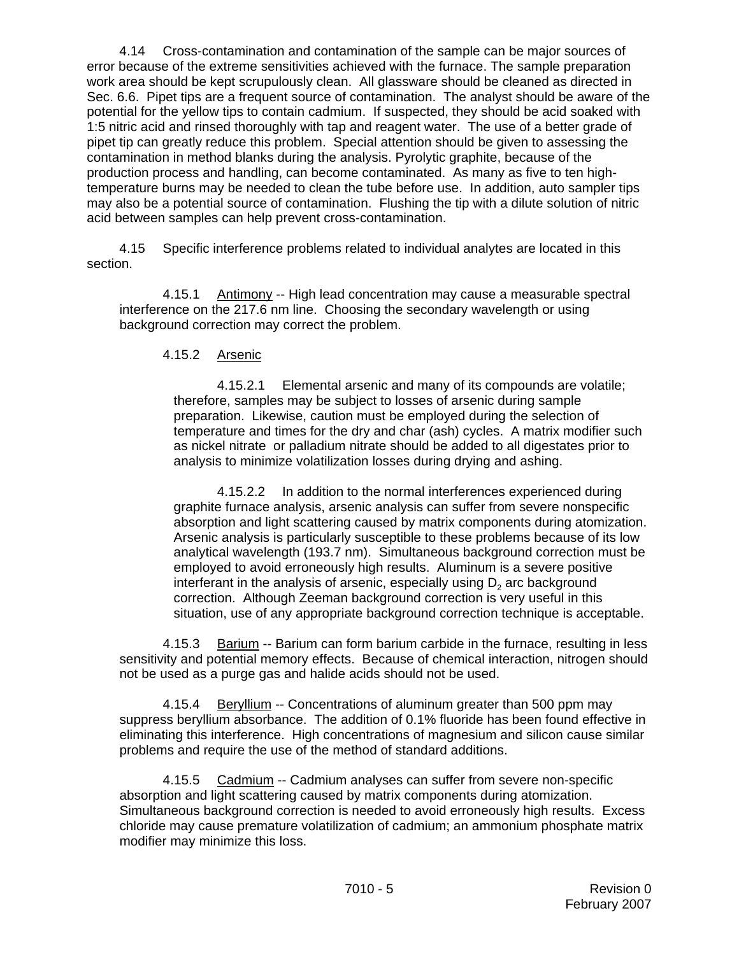4.14 Cross-contamination and contamination of the sample can be major sources of error because of the extreme sensitivities achieved with the furnace. The sample preparation work area should be kept scrupulously clean. All glassware should be cleaned as directed in Sec. 6.6. Pipet tips are a frequent source of contamination. The analyst should be aware of the potential for the yellow tips to contain cadmium. If suspected, they should be acid soaked with 1:5 nitric acid and rinsed thoroughly with tap and reagent water. The use of a better grade of pipet tip can greatly reduce this problem. Special attention should be given to assessing the contamination in method blanks during the analysis. Pyrolytic graphite, because of the production process and handling, can become contaminated. As many as five to ten hightemperature burns may be needed to clean the tube before use. In addition, auto sampler tips may also be a potential source of contamination. Flushing the tip with a dilute solution of nitric acid between samples can help prevent cross-contamination.

4.15 Specific interference problems related to individual analytes are located in this section.

4.15.1 Antimony -- High lead concentration may cause a measurable spectral interference on the 217.6 nm line. Choosing the secondary wavelength or using background correction may correct the problem.

#### 4.15.2 Arsenic

4.15.2.1 Elemental arsenic and many of its compounds are volatile; therefore, samples may be subject to losses of arsenic during sample preparation. Likewise, caution must be employed during the selection of temperature and times for the dry and char (ash) cycles. A matrix modifier such as nickel nitrate or palladium nitrate should be added to all digestates prior to analysis to minimize volatilization losses during drying and ashing.

 4.15.2.2 In addition to the normal interferences experienced during graphite furnace analysis, arsenic analysis can suffer from severe nonspecific absorption and light scattering caused by matrix components during atomization. Arsenic analysis is particularly susceptible to these problems because of its low analytical wavelength (193.7 nm). Simultaneous background correction must be employed to avoid erroneously high results. Aluminum is a severe positive interferant in the analysis of arsenic, especially using  $D<sub>2</sub>$  arc background correction. Although Zeeman background correction is very useful in this situation, use of any appropriate background correction technique is acceptable.

4.15.3 Barium -- Barium can form barium carbide in the furnace, resulting in less sensitivity and potential memory effects. Because of chemical interaction, nitrogen should not be used as a purge gas and halide acids should not be used.

4.15.4 Beryllium -- Concentrations of aluminum greater than 500 ppm may suppress beryllium absorbance. The addition of 0.1% fluoride has been found effective in eliminating this interference. High concentrations of magnesium and silicon cause similar problems and require the use of the method of standard additions.

4.15.5 Cadmium -- Cadmium analyses can suffer from severe non-specific absorption and light scattering caused by matrix components during atomization. Simultaneous background correction is needed to avoid erroneously high results. Excess chloride may cause premature volatilization of cadmium; an ammonium phosphate matrix modifier may minimize this loss.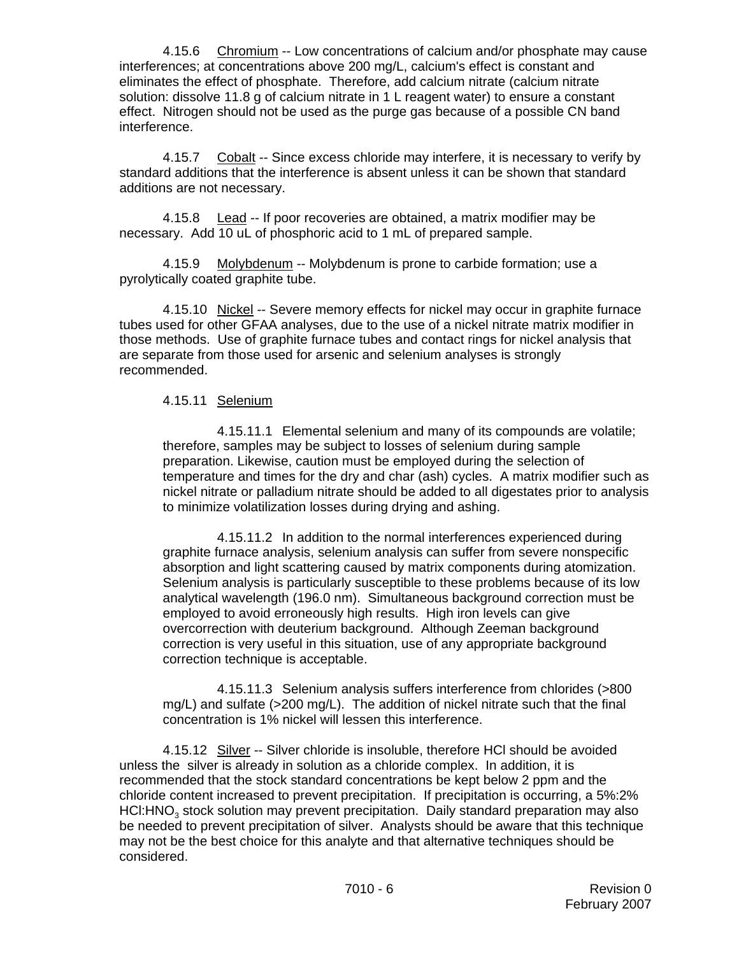4.15.6 Chromium -- Low concentrations of calcium and/or phosphate may cause interferences; at concentrations above 200 mg/L, calcium's effect is constant and eliminates the effect of phosphate. Therefore, add calcium nitrate (calcium nitrate solution: dissolve 11.8 g of calcium nitrate in 1 L reagent water) to ensure a constant effect. Nitrogen should not be used as the purge gas because of a possible CN band interference.

4.15.7 Cobalt -- Since excess chloride may interfere, it is necessary to verify by standard additions that the interference is absent unless it can be shown that standard additions are not necessary.

4.15.8 Lead -- If poor recoveries are obtained, a matrix modifier may be necessary. Add 10 uL of phosphoric acid to 1 mL of prepared sample.

4.15.9 Molybdenum -- Molybdenum is prone to carbide formation; use a pyrolytically coated graphite tube.

4.15.10 Nickel -- Severe memory effects for nickel may occur in graphite furnace tubes used for other GFAA analyses, due to the use of a nickel nitrate matrix modifier in those methods. Use of graphite furnace tubes and contact rings for nickel analysis that are separate from those used for arsenic and selenium analyses is strongly recommended.

#### 4.15.11 Selenium

4.15.11.1 Elemental selenium and many of its compounds are volatile; therefore, samples may be subject to losses of selenium during sample preparation. Likewise, caution must be employed during the selection of temperature and times for the dry and char (ash) cycles. A matrix modifier such as nickel nitrate or palladium nitrate should be added to all digestates prior to analysis to minimize volatilization losses during drying and ashing.

4.15.11.2 In addition to the normal interferences experienced during graphite furnace analysis, selenium analysis can suffer from severe nonspecific absorption and light scattering caused by matrix components during atomization. Selenium analysis is particularly susceptible to these problems because of its low analytical wavelength (196.0 nm). Simultaneous background correction must be employed to avoid erroneously high results. High iron levels can give overcorrection with deuterium background. Although Zeeman background correction is very useful in this situation, use of any appropriate background correction technique is acceptable.

4.15.11.3 Selenium analysis suffers interference from chlorides (>800 mg/L) and sulfate (>200 mg/L). The addition of nickel nitrate such that the final concentration is 1% nickel will lessen this interference.

4.15.12 Silver -- Silver chloride is insoluble, therefore HCl should be avoided unless the silver is already in solution as a chloride complex. In addition, it is recommended that the stock standard concentrations be kept below 2 ppm and the chloride content increased to prevent precipitation. If precipitation is occurring, a 5%:2% HCl:HNO<sub>2</sub> stock solution may prevent precipitation. Daily standard preparation may also be needed to prevent precipitation of silver. Analysts should be aware that this technique may not be the best choice for this analyte and that alternative techniques should be considered.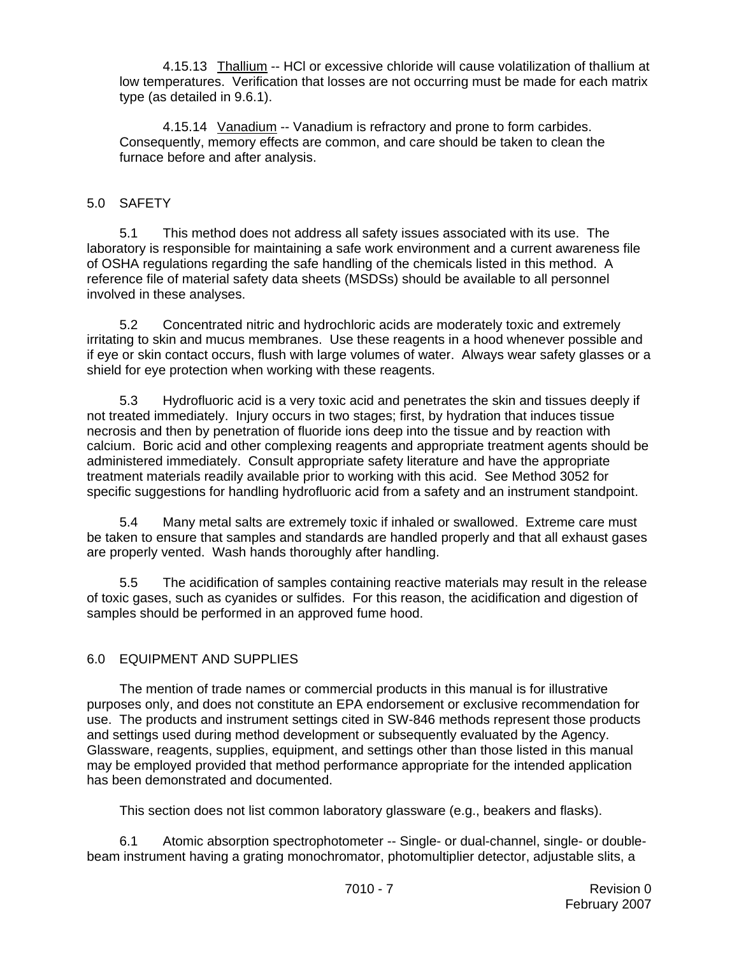4.15.13 Thallium -- HCl or excessive chloride will cause volatilization of thallium at low temperatures. Verification that losses are not occurring must be made for each matrix type (as detailed in 9.6.1).

4.15.14 Vanadium -- Vanadium is refractory and prone to form carbides. Consequently, memory effects are common, and care should be taken to clean the furnace before and after analysis.

## 5.0 SAFETY

5.1 This method does not address all safety issues associated with its use. The laboratory is responsible for maintaining a safe work environment and a current awareness file of OSHA regulations regarding the safe handling of the chemicals listed in this method. A reference file of material safety data sheets (MSDSs) should be available to all personnel involved in these analyses.

5.2 Concentrated nitric and hydrochloric acids are moderately toxic and extremely irritating to skin and mucus membranes. Use these reagents in a hood whenever possible and if eye or skin contact occurs, flush with large volumes of water. Always wear safety glasses or a shield for eye protection when working with these reagents.

5.3 Hydrofluoric acid is a very toxic acid and penetrates the skin and tissues deeply if not treated immediately. Injury occurs in two stages; first, by hydration that induces tissue necrosis and then by penetration of fluoride ions deep into the tissue and by reaction with calcium. Boric acid and other complexing reagents and appropriate treatment agents should be administered immediately. Consult appropriate safety literature and have the appropriate treatment materials readily available prior to working with this acid. See Method 3052 for specific suggestions for handling hydrofluoric acid from a safety and an instrument standpoint.

5.4 Many metal salts are extremely toxic if inhaled or swallowed. Extreme care must be taken to ensure that samples and standards are handled properly and that all exhaust gases are properly vented. Wash hands thoroughly after handling.

5.5 The acidification of samples containing reactive materials may result in the release of toxic gases, such as cyanides or sulfides. For this reason, the acidification and digestion of samples should be performed in an approved fume hood.

#### 6.0 EQUIPMENT AND SUPPLIES

The mention of trade names or commercial products in this manual is for illustrative purposes only, and does not constitute an EPA endorsement or exclusive recommendation for use. The products and instrument settings cited in SW-846 methods represent those products and settings used during method development or subsequently evaluated by the Agency. Glassware, reagents, supplies, equipment, and settings other than those listed in this manual may be employed provided that method performance appropriate for the intended application has been demonstrated and documented.

This section does not list common laboratory glassware (e.g., beakers and flasks).

6.1 Atomic absorption spectrophotometer -- Single- or dual-channel, single- or doublebeam instrument having a grating monochromator, photomultiplier detector, adjustable slits, a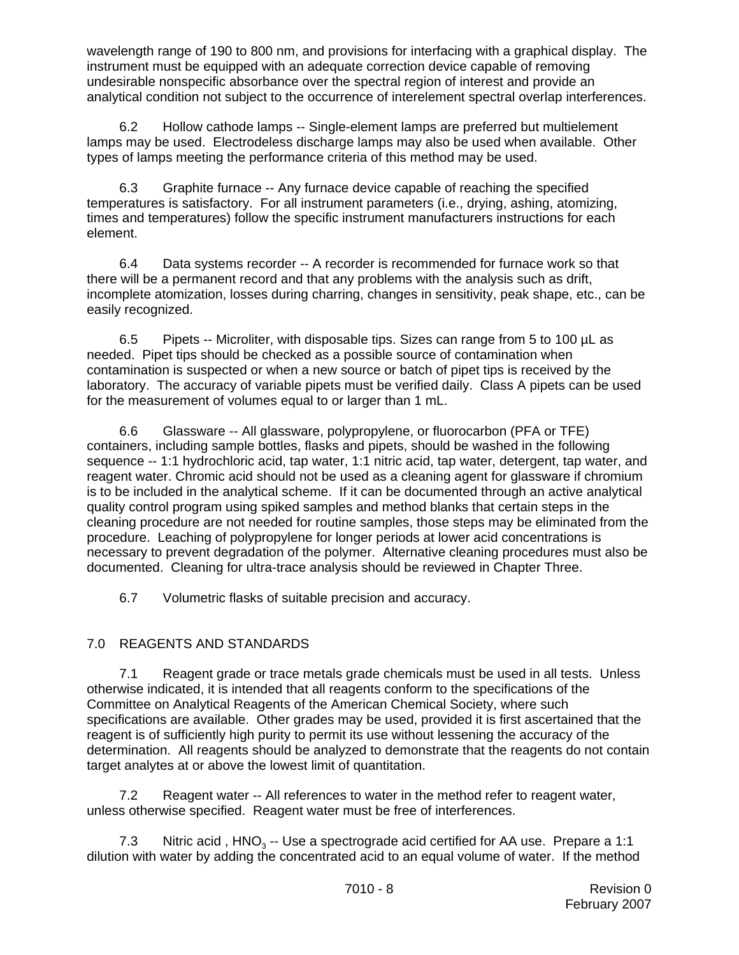wavelength range of 190 to 800 nm, and provisions for interfacing with a graphical display. The instrument must be equipped with an adequate correction device capable of removing undesirable nonspecific absorbance over the spectral region of interest and provide an analytical condition not subject to the occurrence of interelement spectral overlap interferences.

6.2 Hollow cathode lamps -- Single-element lamps are preferred but multielement lamps may be used. Electrodeless discharge lamps may also be used when available. Other types of lamps meeting the performance criteria of this method may be used.

6.3 Graphite furnace -- Any furnace device capable of reaching the specified temperatures is satisfactory. For all instrument parameters (i.e., drying, ashing, atomizing, times and temperatures) follow the specific instrument manufacturers instructions for each element.

6.4 Data systems recorder -- A recorder is recommended for furnace work so that there will be a permanent record and that any problems with the analysis such as drift, incomplete atomization, losses during charring, changes in sensitivity, peak shape, etc., can be easily recognized.

6.5 Pipets -- Microliter, with disposable tips. Sizes can range from 5 to 100 µL as needed. Pipet tips should be checked as a possible source of contamination when contamination is suspected or when a new source or batch of pipet tips is received by the laboratory. The accuracy of variable pipets must be verified daily. Class A pipets can be used for the measurement of volumes equal to or larger than 1 mL.

6.6 Glassware -- All glassware, polypropylene, or fluorocarbon (PFA or TFE) containers, including sample bottles, flasks and pipets, should be washed in the following sequence -- 1:1 hydrochloric acid, tap water, 1:1 nitric acid, tap water, detergent, tap water, and reagent water. Chromic acid should not be used as a cleaning agent for glassware if chromium is to be included in the analytical scheme. If it can be documented through an active analytical quality control program using spiked samples and method blanks that certain steps in the cleaning procedure are not needed for routine samples, those steps may be eliminated from the procedure. Leaching of polypropylene for longer periods at lower acid concentrations is necessary to prevent degradation of the polymer. Alternative cleaning procedures must also be documented. Cleaning for ultra-trace analysis should be reviewed in Chapter Three.

6.7 Volumetric flasks of suitable precision and accuracy.

# 7.0 REAGENTS AND STANDARDS

7.1 Reagent grade or trace metals grade chemicals must be used in all tests. Unless otherwise indicated, it is intended that all reagents conform to the specifications of the Committee on Analytical Reagents of the American Chemical Society, where such specifications are available. Other grades may be used, provided it is first ascertained that the reagent is of sufficiently high purity to permit its use without lessening the accuracy of the determination. All reagents should be analyzed to demonstrate that the reagents do not contain target analytes at or above the lowest limit of quantitation.

7.2 Reagent water -- All references to water in the method refer to reagent water, unless otherwise specified. Reagent water must be free of interferences.

7.3 Nitric acid,  $HNO<sub>3</sub> - Use$  a spectrograde acid certified for AA use. Prepare a 1:1 dilution with water by adding the concentrated acid to an equal volume of water. If the method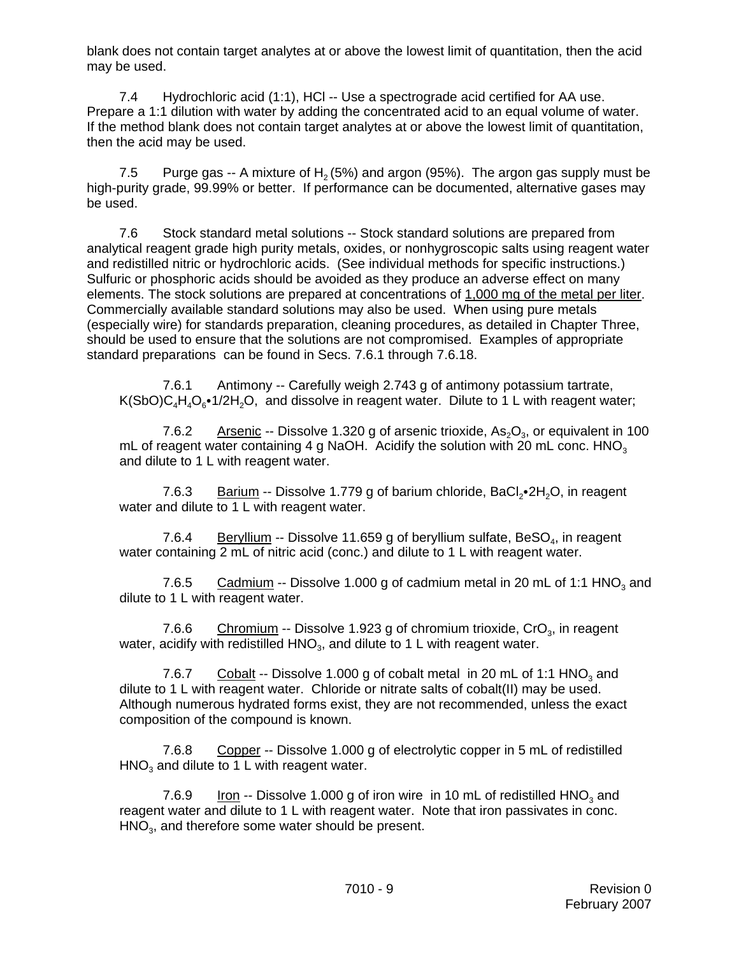blank does not contain target analytes at or above the lowest limit of quantitation, then the acid may be used.

7.4 Hydrochloric acid (1:1), HCl -- Use a spectrograde acid certified for AA use. Prepare a 1:1 dilution with water by adding the concentrated acid to an equal volume of water. If the method blank does not contain target analytes at or above the lowest limit of quantitation, then the acid may be used.

7.5 Purge gas -- A mixture of  $H<sub>2</sub> (5%)$  and argon (95%). The argon gas supply must be high-purity grade, 99.99% or better. If performance can be documented, alternative gases may be used.

7.6 Stock standard metal solutions -- Stock standard solutions are prepared from analytical reagent grade high purity metals, oxides, or nonhygroscopic salts using reagent water and redistilled nitric or hydrochloric acids. (See individual methods for specific instructions.) Sulfuric or phosphoric acids should be avoided as they produce an adverse effect on many elements. The stock solutions are prepared at concentrations of 1,000 mg of the metal per liter. Commercially available standard solutions may also be used. When using pure metals (especially wire) for standards preparation, cleaning procedures, as detailed in Chapter Three, should be used to ensure that the solutions are not compromised. Examples of appropriate standard preparations can be found in Secs. 7.6.1 through 7.6.18.

7.6.1 Antimony -- Carefully weigh 2.743 g of antimony potassium tartrate,  $K(SbO)C<sub>4</sub>H<sub>4</sub>O<sub>6</sub>•1/2H<sub>2</sub>O$ , and dissolve in reagent water. Dilute to 1 L with reagent water;

7.6.2 Arsenic -- Dissolve 1.320 g of arsenic trioxide,  $As_2O_3$ , or equivalent in 100 mL of reagent water containing 4 g NaOH. Acidify the solution with 20 mL conc.  $HNO<sub>3</sub>$ and dilute to 1 L with reagent water.

7.6.3 Barium -- Dissolve 1.779 g of barium chloride, BaCl<sub>2</sub>.2H<sub>2</sub>O, in reagent water and dilute to 1 L with reagent water.

7.6.4 Beryllium -- Dissolve 11.659 g of beryllium sulfate, BeSO<sub>4</sub>, in reagent water containing 2 mL of nitric acid (conc.) and dilute to 1 L with reagent water.

7.6.5 Cadmium -- Dissolve 1.000 g of cadmium metal in 20 mL of 1:1 HNO<sub>3</sub> and dilute to 1 L with reagent water.

7.6.6 Chromium -- Dissolve 1.923 g of chromium trioxide, CrO<sub>3</sub>, in reagent water, acidify with redistilled  $HNO<sub>3</sub>$ , and dilute to 1 L with reagent water.

7.6.7 Cobalt -- Dissolve 1.000 g of cobalt metal in 20 mL of 1:1 HNO<sub>3</sub> and dilute to 1 L with reagent water. Chloride or nitrate salts of cobalt(II) may be used. Although numerous hydrated forms exist, they are not recommended, unless the exact composition of the compound is known.

7.6.8 Copper -- Dissolve 1.000 g of electrolytic copper in 5 mL of redistilled  $HNO<sub>3</sub>$  and dilute to 1 L with reagent water.

7.6.9 Iron -- Dissolve 1.000 g of iron wire in 10 mL of redistilled  $HNO<sub>3</sub>$  and reagent water and dilute to 1 L with reagent water. Note that iron passivates in conc.  $HNO<sub>3</sub>$ , and therefore some water should be present.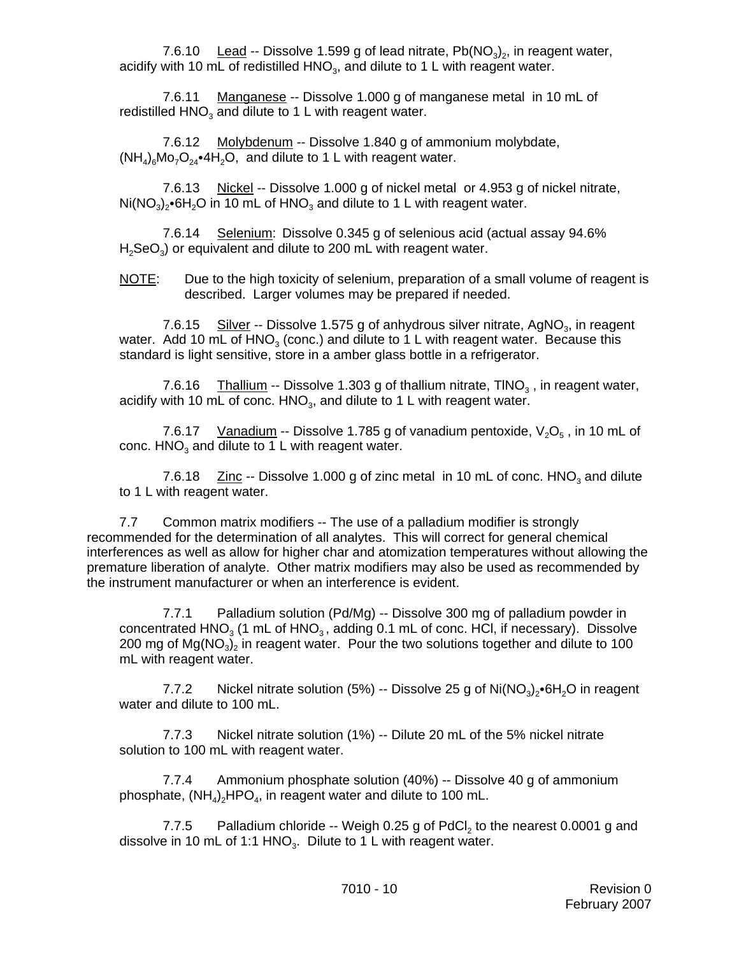7.6.10 Lead -- Dissolve 1.599 g of lead nitrate,  $Pb(NO<sub>3</sub>)<sub>2</sub>$ , in reagent water, acidify with 10 mL of redistilled HNO<sub>3</sub>, and dilute to 1 L with reagent water.

7.6.11 Manganese -- Dissolve 1.000 g of manganese metal in 10 mL of redistilled  $HNO<sub>3</sub>$  and dilute to 1 L with reagent water.

7.6.12 Molybdenum -- Dissolve 1.840 g of ammonium molybdate,  $(NH_4)_{6}Mo_{7}O_{24}$ •4H<sub>2</sub>O, and dilute to 1 L with reagent water.

7.6.13 Nickel -- Dissolve 1.000 g of nickel metal or 4.953 g of nickel nitrate,  $Ni(NO<sub>3</sub>)<sub>2</sub>·6H<sub>2</sub>O$  in 10 mL of HNO<sub>3</sub> and dilute to 1 L with reagent water.

7.6.14 Selenium: Dissolve 0.345 g of selenious acid (actual assay 94.6%  $H<sub>2</sub>SeO<sub>3</sub>$ ) or equivalent and dilute to 200 mL with reagent water.

NOTE: Due to the high toxicity of selenium, preparation of a small volume of reagent is described. Larger volumes may be prepared if needed.

7.6.15 Silver -- Dissolve 1.575 g of anhydrous silver nitrate, AgNO<sub>3</sub>, in reagent water. Add 10 mL of  $HNO<sub>3</sub>$  (conc.) and dilute to 1 L with reagent water. Because this standard is light sensitive, store in a amber glass bottle in a refrigerator.

7.6.16 Thallium -- Dissolve 1.303 g of thallium nitrate,  $TINO<sub>3</sub>$ , in reagent water, acidify with 10 mL of conc.  $HNO<sub>3</sub>$ , and dilute to 1 L with reagent water.

7.6.17 Vanadium -- Dissolve 1.785 g of vanadium pentoxide,  $V_2O_5$ , in 10 mL of conc.  $HNO<sub>3</sub>$  and dilute to 1 L with reagent water.

7.6.18  $\quad$  Zinc -- Dissolve 1.000 g of zinc metal in 10 mL of conc. HNO<sub>3</sub> and dilute to 1 L with reagent water.

7.7 Common matrix modifiers -- The use of a palladium modifier is strongly recommended for the determination of all analytes. This will correct for general chemical interferences as well as allow for higher char and atomization temperatures without allowing the premature liberation of analyte. Other matrix modifiers may also be used as recommended by the instrument manufacturer or when an interference is evident.

7.7.1 Palladium solution (Pd/Mg) -- Dissolve 300 mg of palladium powder in concentrated  $HNO<sub>3</sub>$  (1 mL of  $HNO<sub>3</sub>$ , adding 0.1 mL of conc. HCl, if necessary). Dissolve 200 mg of  $Mg(NO<sub>3</sub>)<sub>2</sub>$  in reagent water. Pour the two solutions together and dilute to 100 mL with reagent water.

7.7.2 Nickel nitrate solution (5%) -- Dissolve 25 g of  $\text{Ni}(\text{NO}_3)_2\text{-}6\text{H}_2\text{O}$  in reagent water and dilute to 100 mL.

7.7.3 Nickel nitrate solution (1%) -- Dilute 20 mL of the 5% nickel nitrate solution to 100 mL with reagent water.

7.7.4 Ammonium phosphate solution (40%) -- Dissolve 40 g of ammonium phosphate,  $(NH_4)$ <sub>2</sub>HPO<sub>4</sub>, in reagent water and dilute to 100 mL.

7.7.5 Palladium chloride -- Weigh 0.25 g of PdCl<sub>2</sub> to the nearest 0.0001 g and dissolve in 10 mL of 1:1 HNO<sub>3</sub>. Dilute to 1 L with reagent water.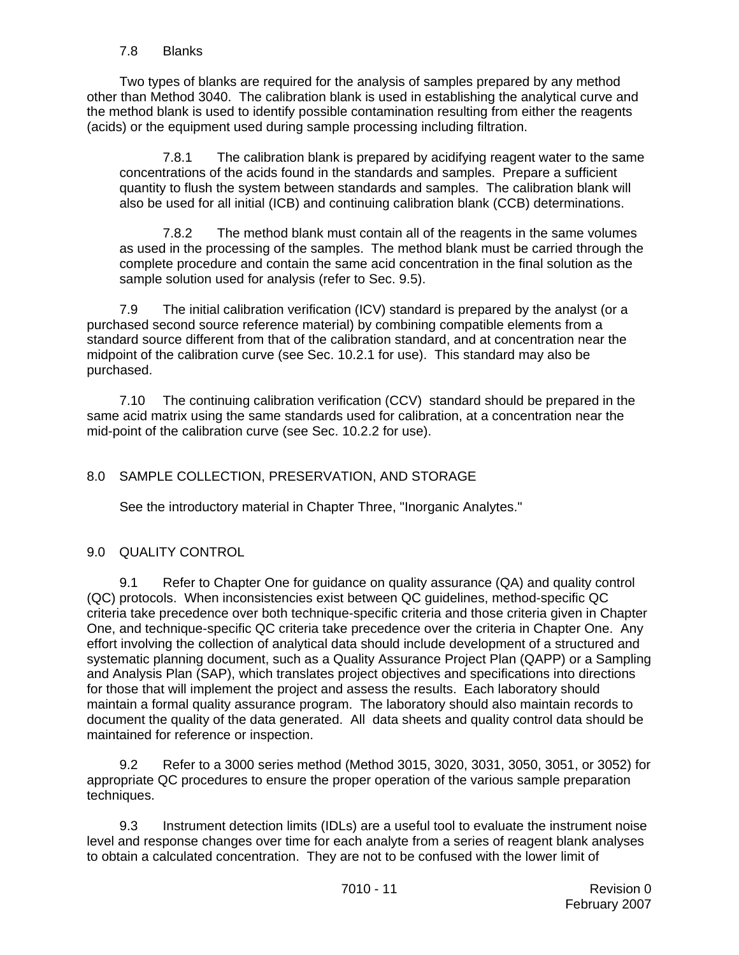#### 7.8 Blanks

Two types of blanks are required for the analysis of samples prepared by any method other than Method 3040. The calibration blank is used in establishing the analytical curve and the method blank is used to identify possible contamination resulting from either the reagents (acids) or the equipment used during sample processing including filtration.

7.8.1 The calibration blank is prepared by acidifying reagent water to the same concentrations of the acids found in the standards and samples. Prepare a sufficient quantity to flush the system between standards and samples. The calibration blank will also be used for all initial (ICB) and continuing calibration blank (CCB) determinations.

7.8.2 The method blank must contain all of the reagents in the same volumes as used in the processing of the samples. The method blank must be carried through the complete procedure and contain the same acid concentration in the final solution as the sample solution used for analysis (refer to Sec. 9.5).

7.9 The initial calibration verification (ICV) standard is prepared by the analyst (or a purchased second source reference material) by combining compatible elements from a standard source different from that of the calibration standard, and at concentration near the midpoint of the calibration curve (see Sec. 10.2.1 for use). This standard may also be purchased.

7.10 The continuing calibration verification (CCV) standard should be prepared in the same acid matrix using the same standards used for calibration, at a concentration near the mid-point of the calibration curve (see Sec. 10.2.2 for use).

## 8.0 SAMPLE COLLECTION, PRESERVATION, AND STORAGE

See the introductory material in Chapter Three, "Inorganic Analytes."

#### 9.0 QUALITY CONTROL

9.1 Refer to Chapter One for guidance on quality assurance (QA) and quality control (QC) protocols. When inconsistencies exist between QC guidelines, method-specific QC criteria take precedence over both technique-specific criteria and those criteria given in Chapter One, and technique-specific QC criteria take precedence over the criteria in Chapter One. Any effort involving the collection of analytical data should include development of a structured and systematic planning document, such as a Quality Assurance Project Plan (QAPP) or a Sampling and Analysis Plan (SAP), which translates project objectives and specifications into directions for those that will implement the project and assess the results. Each laboratory should maintain a formal quality assurance program. The laboratory should also maintain records to document the quality of the data generated. All data sheets and quality control data should be maintained for reference or inspection.

9.2 Refer to a 3000 series method (Method 3015, 3020, 3031, 3050, 3051, or 3052) for appropriate QC procedures to ensure the proper operation of the various sample preparation techniques.

9.3 Instrument detection limits (IDLs) are a useful tool to evaluate the instrument noise level and response changes over time for each analyte from a series of reagent blank analyses to obtain a calculated concentration. They are not to be confused with the lower limit of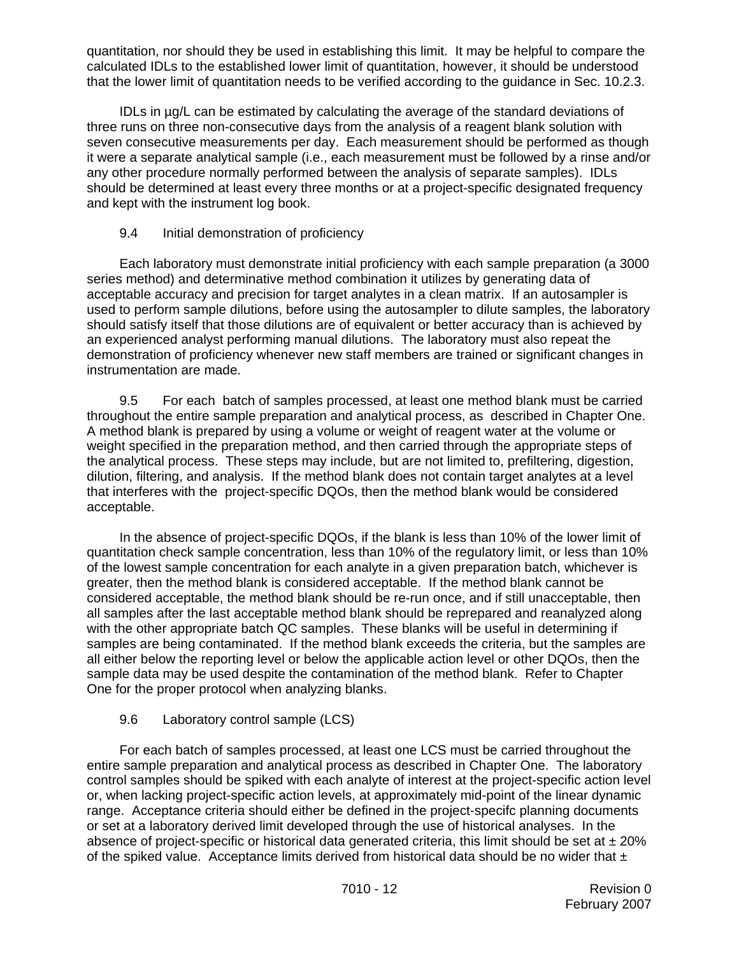quantitation, nor should they be used in establishing this limit. It may be helpful to compare the calculated IDLs to the established lower limit of quantitation, however, it should be understood that the lower limit of quantitation needs to be verified according to the guidance in Sec. 10.2.3.

IDLs in µg/L can be estimated by calculating the average of the standard deviations of three runs on three non-consecutive days from the analysis of a reagent blank solution with seven consecutive measurements per day. Each measurement should be performed as though it were a separate analytical sample (i.e., each measurement must be followed by a rinse and/or any other procedure normally performed between the analysis of separate samples). IDLs should be determined at least every three months or at a project-specific designated frequency and kept with the instrument log book.

## 9.4 Initial demonstration of proficiency

Each laboratory must demonstrate initial proficiency with each sample preparation (a 3000 series method) and determinative method combination it utilizes by generating data of acceptable accuracy and precision for target analytes in a clean matrix. If an autosampler is used to perform sample dilutions, before using the autosampler to dilute samples, the laboratory should satisfy itself that those dilutions are of equivalent or better accuracy than is achieved by an experienced analyst performing manual dilutions. The laboratory must also repeat the demonstration of proficiency whenever new staff members are trained or significant changes in instrumentation are made.

9.5 For each batch of samples processed, at least one method blank must be carried throughout the entire sample preparation and analytical process, as described in Chapter One. A method blank is prepared by using a volume or weight of reagent water at the volume or weight specified in the preparation method, and then carried through the appropriate steps of the analytical process. These steps may include, but are not limited to, prefiltering, digestion, dilution, filtering, and analysis. If the method blank does not contain target analytes at a level that interferes with the project-specific DQOs, then the method blank would be considered acceptable.

In the absence of project-specific DQOs, if the blank is less than 10% of the lower limit of quantitation check sample concentration, less than 10% of the regulatory limit, or less than 10% of the lowest sample concentration for each analyte in a given preparation batch, whichever is greater, then the method blank is considered acceptable. If the method blank cannot be considered acceptable, the method blank should be re-run once, and if still unacceptable, then all samples after the last acceptable method blank should be reprepared and reanalyzed along with the other appropriate batch QC samples. These blanks will be useful in determining if samples are being contaminated. If the method blank exceeds the criteria, but the samples are all either below the reporting level or below the applicable action level or other DQOs, then the sample data may be used despite the contamination of the method blank. Refer to Chapter One for the proper protocol when analyzing blanks.

## 9.6 Laboratory control sample (LCS)

For each batch of samples processed, at least one LCS must be carried throughout the entire sample preparation and analytical process as described in Chapter One. The laboratory control samples should be spiked with each analyte of interest at the project-specific action level or, when lacking project-specific action levels, at approximately mid-point of the linear dynamic range. Acceptance criteria should either be defined in the project-specifc planning documents or set at a laboratory derived limit developed through the use of historical analyses. In the absence of project-specific or historical data generated criteria, this limit should be set at  $\pm 20\%$ of the spiked value. Acceptance limits derived from historical data should be no wider that  $\pm$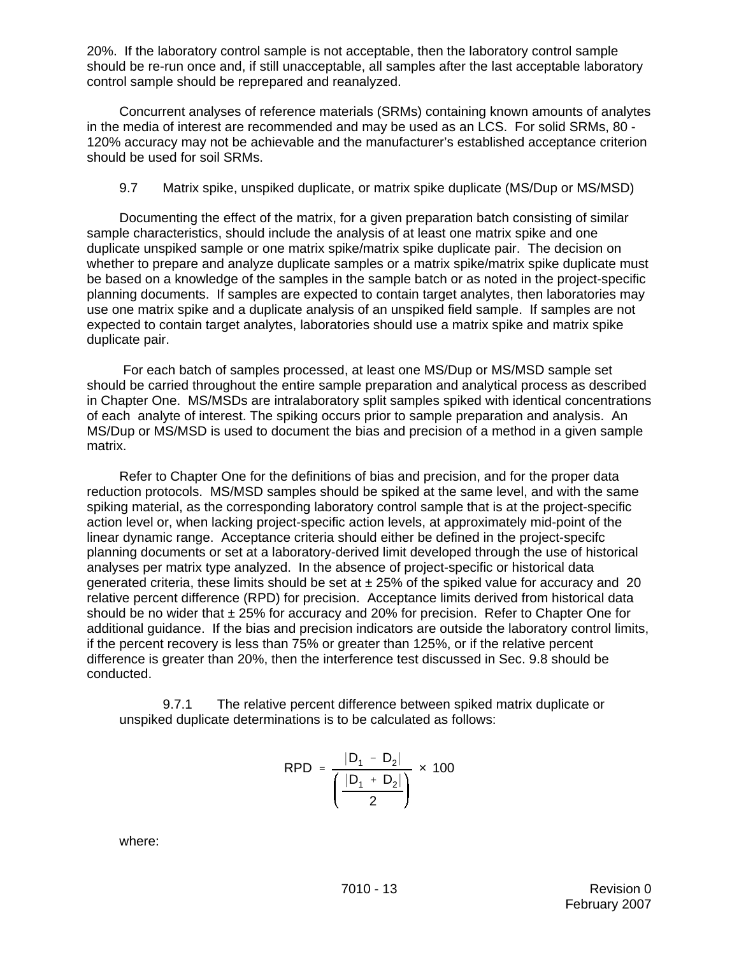20%. If the laboratory control sample is not acceptable, then the laboratory control sample should be re-run once and, if still unacceptable, all samples after the last acceptable laboratory control sample should be reprepared and reanalyzed.

Concurrent analyses of reference materials (SRMs) containing known amounts of analytes in the media of interest are recommended and may be used as an LCS. For solid SRMs, 80 - 120% accuracy may not be achievable and the manufacturer's established acceptance criterion should be used for soil SRMs.

9.7 Matrix spike, unspiked duplicate, or matrix spike duplicate (MS/Dup or MS/MSD)

Documenting the effect of the matrix, for a given preparation batch consisting of similar sample characteristics, should include the analysis of at least one matrix spike and one duplicate unspiked sample or one matrix spike/matrix spike duplicate pair. The decision on whether to prepare and analyze duplicate samples or a matrix spike/matrix spike duplicate must be based on a knowledge of the samples in the sample batch or as noted in the project-specific planning documents. If samples are expected to contain target analytes, then laboratories may use one matrix spike and a duplicate analysis of an unspiked field sample. If samples are not expected to contain target analytes, laboratories should use a matrix spike and matrix spike duplicate pair.

 For each batch of samples processed, at least one MS/Dup or MS/MSD sample set should be carried throughout the entire sample preparation and analytical process as described in Chapter One. MS/MSDs are intralaboratory split samples spiked with identical concentrations of each analyte of interest. The spiking occurs prior to sample preparation and analysis. An MS/Dup or MS/MSD is used to document the bias and precision of a method in a given sample matrix.

Refer to Chapter One for the definitions of bias and precision, and for the proper data reduction protocols. MS/MSD samples should be spiked at the same level, and with the same spiking material, as the corresponding laboratory control sample that is at the project-specific action level or, when lacking project-specific action levels, at approximately mid-point of the linear dynamic range. Acceptance criteria should either be defined in the project-specifc planning documents or set at a laboratory-derived limit developed through the use of historical analyses per matrix type analyzed. In the absence of project-specific or historical data generated criteria, these limits should be set at  $\pm$  25% of the spiked value for accuracy and 20 relative percent difference (RPD) for precision. Acceptance limits derived from historical data should be no wider that  $\pm 25\%$  for accuracy and 20% for precision. Refer to Chapter One for additional guidance. If the bias and precision indicators are outside the laboratory control limits, if the percent recovery is less than 75% or greater than 125%, or if the relative percent difference is greater than 20%, then the interference test discussed in Sec. 9.8 should be conducted.

9.7.1 The relative percent difference between spiked matrix duplicate or unspiked duplicate determinations is to be calculated as follows:

$$
RPD = \frac{|D_1 - D_2|}{\left(\frac{|D_1 + D_2|}{2}\right)} \times 100
$$

where: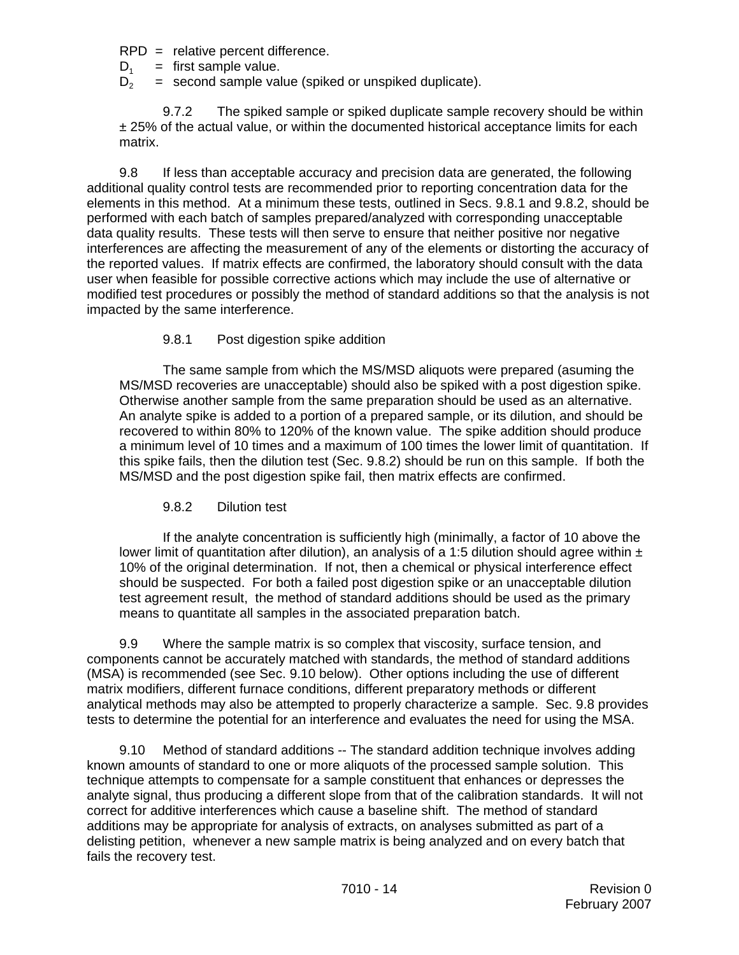$RPD =$  relative percent difference.

 $D_1$  = first sample value.<br> $D_2$  = second sample value

= second sample value (spiked or unspiked duplicate).

9.7.2 The spiked sample or spiked duplicate sample recovery should be within ± 25% of the actual value, or within the documented historical acceptance limits for each matrix.

9.8 If less than acceptable accuracy and precision data are generated, the following additional quality control tests are recommended prior to reporting concentration data for the elements in this method. At a minimum these tests, outlined in Secs. 9.8.1 and 9.8.2, should be performed with each batch of samples prepared/analyzed with corresponding unacceptable data quality results. These tests will then serve to ensure that neither positive nor negative interferences are affecting the measurement of any of the elements or distorting the accuracy of the reported values. If matrix effects are confirmed, the laboratory should consult with the data user when feasible for possible corrective actions which may include the use of alternative or modified test procedures or possibly the method of standard additions so that the analysis is not impacted by the same interference.

## 9.8.1 Post digestion spike addition

The same sample from which the MS/MSD aliquots were prepared (asuming the MS/MSD recoveries are unacceptable) should also be spiked with a post digestion spike. Otherwise another sample from the same preparation should be used as an alternative. An analyte spike is added to a portion of a prepared sample, or its dilution, and should be recovered to within 80% to 120% of the known value. The spike addition should produce a minimum level of 10 times and a maximum of 100 times the lower limit of quantitation. If this spike fails, then the dilution test (Sec. 9.8.2) should be run on this sample. If both the MS/MSD and the post digestion spike fail, then matrix effects are confirmed.

## 9.8.2 Dilution test

If the analyte concentration is sufficiently high (minimally, a factor of 10 above the lower limit of quantitation after dilution), an analysis of a 1:5 dilution should agree within  $\pm$ 10% of the original determination. If not, then a chemical or physical interference effect should be suspected. For both a failed post digestion spike or an unacceptable dilution test agreement result, the method of standard additions should be used as the primary means to quantitate all samples in the associated preparation batch.

9.9 Where the sample matrix is so complex that viscosity, surface tension, and components cannot be accurately matched with standards, the method of standard additions (MSA) is recommended (see Sec. 9.10 below). Other options including the use of different matrix modifiers, different furnace conditions, different preparatory methods or different analytical methods may also be attempted to properly characterize a sample. Sec. 9.8 provides tests to determine the potential for an interference and evaluates the need for using the MSA.

9.10 Method of standard additions -- The standard addition technique involves adding known amounts of standard to one or more aliquots of the processed sample solution. This technique attempts to compensate for a sample constituent that enhances or depresses the analyte signal, thus producing a different slope from that of the calibration standards. It will not correct for additive interferences which cause a baseline shift. The method of standard additions may be appropriate for analysis of extracts, on analyses submitted as part of a delisting petition, whenever a new sample matrix is being analyzed and on every batch that fails the recovery test.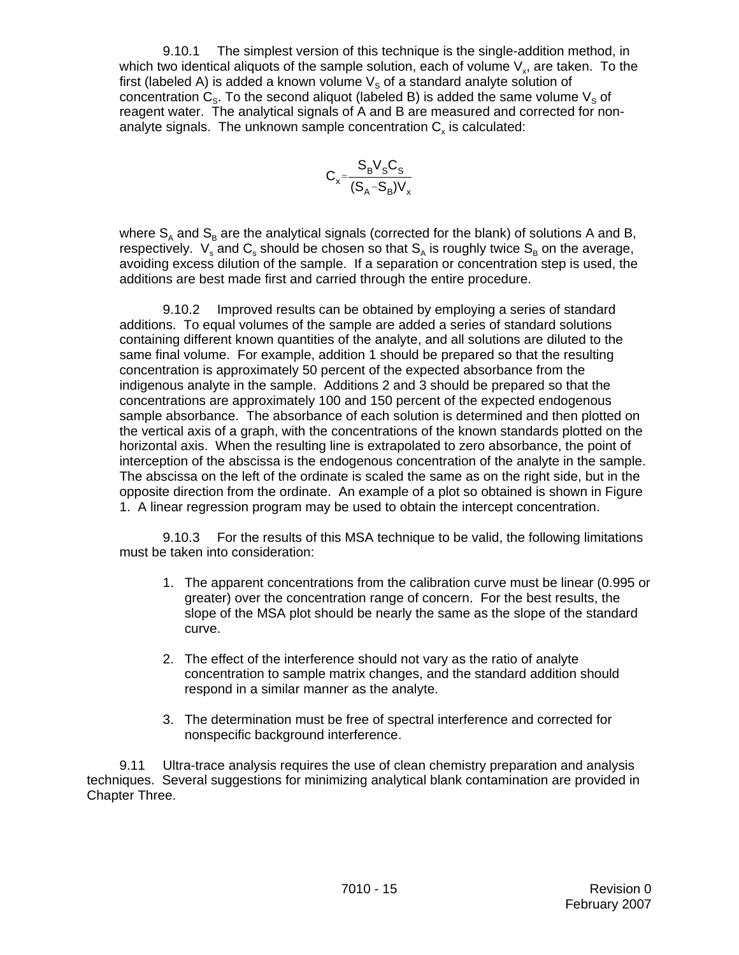9.10.1 The simplest version of this technique is the single-addition method, in which two identical aliquots of the sample solution, each of volume  $V_{y}$ , are taken. To the first (labeled A) is added a known volume  $V<sub>S</sub>$  of a standard analyte solution of concentration  $C_{\rm s}$ . To the second aliquot (labeled B) is added the same volume  $V_{\rm s}$  of reagent water. The analytical signals of A and B are measured and corrected for nonanalyte signals. The unknown sample concentration  $C<sub>x</sub>$  is calculated:

$$
C_x = \frac{S_B V_S C_S}{(S_A - S_B)V_x}
$$

where  $S_A$  and  $S_B$  are the analytical signals (corrected for the blank) of solutions A and B, respectively.  $\ V_{\rm s}$  and  ${\sf C}_{\rm s}$  should be chosen so that  ${\sf S}_{\rm A}$  is roughly twice  ${\sf S}_{\rm B}$  on the average, avoiding excess dilution of the sample. If a separation or concentration step is used, the additions are best made first and carried through the entire procedure.

9.10.2 Improved results can be obtained by employing a series of standard additions. To equal volumes of the sample are added a series of standard solutions containing different known quantities of the analyte, and all solutions are diluted to the same final volume. For example, addition 1 should be prepared so that the resulting concentration is approximately 50 percent of the expected absorbance from the indigenous analyte in the sample. Additions 2 and 3 should be prepared so that the concentrations are approximately 100 and 150 percent of the expected endogenous sample absorbance. The absorbance of each solution is determined and then plotted on the vertical axis of a graph, with the concentrations of the known standards plotted on the horizontal axis. When the resulting line is extrapolated to zero absorbance, the point of interception of the abscissa is the endogenous concentration of the analyte in the sample. The abscissa on the left of the ordinate is scaled the same as on the right side, but in the opposite direction from the ordinate. An example of a plot so obtained is shown in Figure 1. A linear regression program may be used to obtain the intercept concentration.

9.10.3 For the results of this MSA technique to be valid, the following limitations must be taken into consideration:

- 1. The apparent concentrations from the calibration curve must be linear (0.995 or greater) over the concentration range of concern. For the best results, the slope of the MSA plot should be nearly the same as the slope of the standard curve.
- 2. The effect of the interference should not vary as the ratio of analyte concentration to sample matrix changes, and the standard addition should respond in a similar manner as the analyte.
- 3. The determination must be free of spectral interference and corrected for nonspecific background interference.

9.11 Ultra-trace analysis requires the use of clean chemistry preparation and analysis techniques. Several suggestions for minimizing analytical blank contamination are provided in Chapter Three.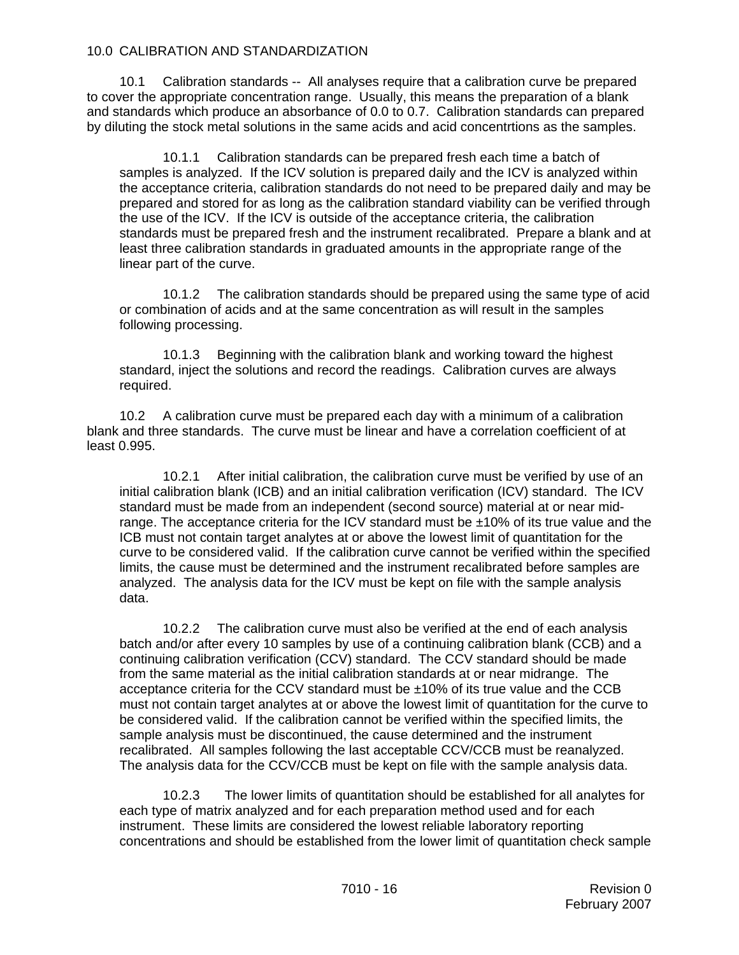#### 10.0 CALIBRATION AND STANDARDIZATION

10.1 Calibration standards -- All analyses require that a calibration curve be prepared to cover the appropriate concentration range. Usually, this means the preparation of a blank and standards which produce an absorbance of 0.0 to 0.7. Calibration standards can prepared by diluting the stock metal solutions in the same acids and acid concentrtions as the samples.

10.1.1 Calibration standards can be prepared fresh each time a batch of samples is analyzed. If the ICV solution is prepared daily and the ICV is analyzed within the acceptance criteria, calibration standards do not need to be prepared daily and may be prepared and stored for as long as the calibration standard viability can be verified through the use of the ICV. If the ICV is outside of the acceptance criteria, the calibration standards must be prepared fresh and the instrument recalibrated. Prepare a blank and at least three calibration standards in graduated amounts in the appropriate range of the linear part of the curve.

10.1.2 The calibration standards should be prepared using the same type of acid or combination of acids and at the same concentration as will result in the samples following processing.

10.1.3 Beginning with the calibration blank and working toward the highest standard, inject the solutions and record the readings. Calibration curves are always required.

10.2 A calibration curve must be prepared each day with a minimum of a calibration blank and three standards. The curve must be linear and have a correlation coefficient of at least 0.995.

10.2.1 After initial calibration, the calibration curve must be verified by use of an initial calibration blank (ICB) and an initial calibration verification (ICV) standard. The ICV standard must be made from an independent (second source) material at or near midrange. The acceptance criteria for the ICV standard must be ±10% of its true value and the ICB must not contain target analytes at or above the lowest limit of quantitation for the curve to be considered valid. If the calibration curve cannot be verified within the specified limits, the cause must be determined and the instrument recalibrated before samples are analyzed. The analysis data for the ICV must be kept on file with the sample analysis data.

10.2.2 The calibration curve must also be verified at the end of each analysis batch and/or after every 10 samples by use of a continuing calibration blank (CCB) and a continuing calibration verification (CCV) standard. The CCV standard should be made from the same material as the initial calibration standards at or near midrange. The acceptance criteria for the CCV standard must be  $\pm 10\%$  of its true value and the CCB must not contain target analytes at or above the lowest limit of quantitation for the curve to be considered valid. If the calibration cannot be verified within the specified limits, the sample analysis must be discontinued, the cause determined and the instrument recalibrated. All samples following the last acceptable CCV/CCB must be reanalyzed. The analysis data for the CCV/CCB must be kept on file with the sample analysis data.

10.2.3 The lower limits of quantitation should be established for all analytes for each type of matrix analyzed and for each preparation method used and for each instrument. These limits are considered the lowest reliable laboratory reporting concentrations and should be established from the lower limit of quantitation check sample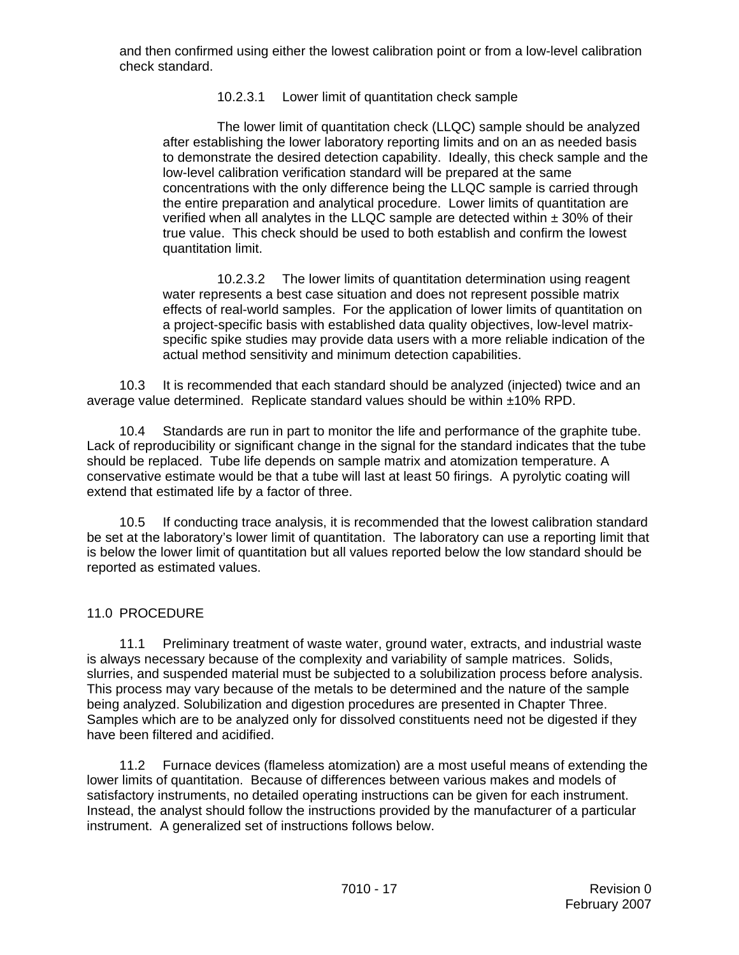and then confirmed using either the lowest calibration point or from a low-level calibration check standard.

10.2.3.1 Lower limit of quantitation check sample

The lower limit of quantitation check (LLQC) sample should be analyzed after establishing the lower laboratory reporting limits and on an as needed basis to demonstrate the desired detection capability. Ideally, this check sample and the low-level calibration verification standard will be prepared at the same concentrations with the only difference being the LLQC sample is carried through the entire preparation and analytical procedure. Lower limits of quantitation are verified when all analytes in the LLQC sample are detected within  $\pm$  30% of their true value. This check should be used to both establish and confirm the lowest quantitation limit.

10.2.3.2 The lower limits of quantitation determination using reagent water represents a best case situation and does not represent possible matrix effects of real-world samples. For the application of lower limits of quantitation on a project-specific basis with established data quality objectives, low-level matrixspecific spike studies may provide data users with a more reliable indication of the actual method sensitivity and minimum detection capabilities.

10.3 It is recommended that each standard should be analyzed (injected) twice and an average value determined. Replicate standard values should be within ±10% RPD.

10.4 Standards are run in part to monitor the life and performance of the graphite tube. Lack of reproducibility or significant change in the signal for the standard indicates that the tube should be replaced. Tube life depends on sample matrix and atomization temperature. A conservative estimate would be that a tube will last at least 50 firings. A pyrolytic coating will extend that estimated life by a factor of three.

10.5 If conducting trace analysis, it is recommended that the lowest calibration standard be set at the laboratory's lower limit of quantitation. The laboratory can use a reporting limit that is below the lower limit of quantitation but all values reported below the low standard should be reported as estimated values.

## 11.0 PROCEDURE

11.1 Preliminary treatment of waste water, ground water, extracts, and industrial waste is always necessary because of the complexity and variability of sample matrices. Solids, slurries, and suspended material must be subjected to a solubilization process before analysis. This process may vary because of the metals to be determined and the nature of the sample being analyzed. Solubilization and digestion procedures are presented in Chapter Three. Samples which are to be analyzed only for dissolved constituents need not be digested if they have been filtered and acidified.

11.2 Furnace devices (flameless atomization) are a most useful means of extending the lower limits of quantitation. Because of differences between various makes and models of satisfactory instruments, no detailed operating instructions can be given for each instrument. Instead, the analyst should follow the instructions provided by the manufacturer of a particular instrument. A generalized set of instructions follows below.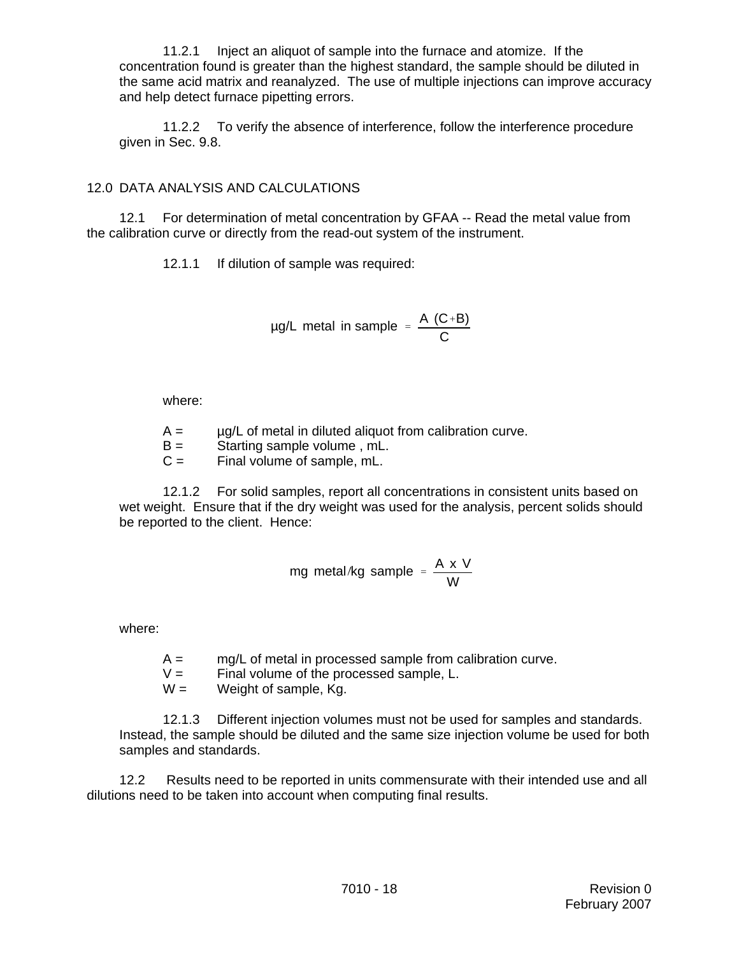11.2.1 Inject an aliquot of sample into the furnace and atomize. If the concentration found is greater than the highest standard, the sample should be diluted in the same acid matrix and reanalyzed. The use of multiple injections can improve accuracy and help detect furnace pipetting errors.

11.2.2 To verify the absence of interference, follow the interference procedure given in Sec. 9.8.

## 12.0 DATA ANALYSIS AND CALCULATIONS

12.1 For determination of metal concentration by GFAA -- Read the metal value from the calibration curve or directly from the read-out system of the instrument.

12.1.1 If dilution of sample was required:

$$
\mu g/L \text{ metal in sample } = \frac{A (C+B)}{C}
$$

where:

- $A = \mu g/L$  of metal in diluted aliquot from calibration curve.
- B = Starting sample volume , mL.
- $C =$  Final volume of sample, mL.

12.1.2 For solid samples, report all concentrations in consistent units based on wet weight. Ensure that if the dry weight was used for the analysis, percent solids should be reported to the client. Hence:

$$
mg \text{ metal/kg sample} = \frac{A \times V}{W}
$$

where:

- $A = \frac{mq}{L}$  of metal in processed sample from calibration curve.
- $V =$  Final volume of the processed sample, L.
- $W =$  Weight of sample, Kg.

12.1.3 Different injection volumes must not be used for samples and standards. Instead, the sample should be diluted and the same size injection volume be used for both samples and standards.

12.2 Results need to be reported in units commensurate with their intended use and all dilutions need to be taken into account when computing final results.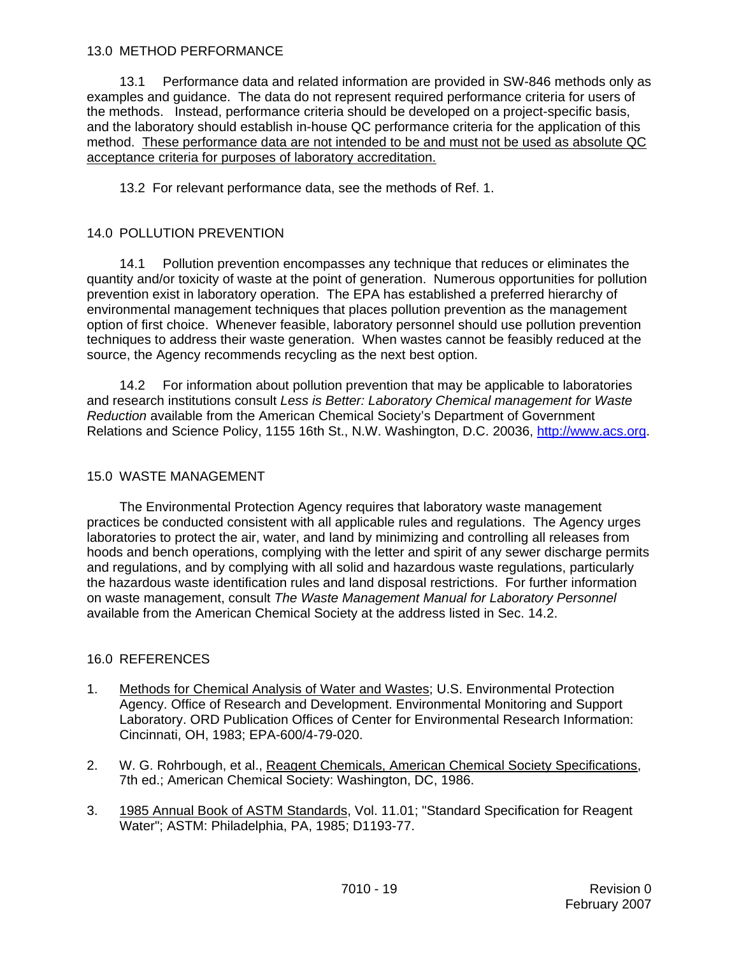#### 13.0 METHOD PERFORMANCE

13.1 Performance data and related information are provided in SW-846 methods only as examples and guidance. The data do not represent required performance criteria for users of the methods. Instead, performance criteria should be developed on a project-specific basis, and the laboratory should establish in-house QC performance criteria for the application of this method. These performance data are not intended to be and must not be used as absolute QC acceptance criteria for purposes of laboratory accreditation.

13.2 For relevant performance data, see the methods of Ref. 1.

#### 14.0 POLLUTION PREVENTION

14.1 Pollution prevention encompasses any technique that reduces or eliminates the quantity and/or toxicity of waste at the point of generation. Numerous opportunities for pollution prevention exist in laboratory operation. The EPA has established a preferred hierarchy of environmental management techniques that places pollution prevention as the management option of first choice. Whenever feasible, laboratory personnel should use pollution prevention techniques to address their waste generation. When wastes cannot be feasibly reduced at the source, the Agency recommends recycling as the next best option.

14.2 For information about pollution prevention that may be applicable to laboratories and research institutions consult *Less is Better: Laboratory Chemical management for Waste Reduction* available from the American Chemical Society's Department of Government Relations and Science Policy, 1155 16th St., N.W. Washington, D.C. 20036, http://www.acs.org.

#### 15.0 WASTE MANAGEMENT

The Environmental Protection Agency requires that laboratory waste management practices be conducted consistent with all applicable rules and regulations. The Agency urges laboratories to protect the air, water, and land by minimizing and controlling all releases from hoods and bench operations, complying with the letter and spirit of any sewer discharge permits and regulations, and by complying with all solid and hazardous waste regulations, particularly the hazardous waste identification rules and land disposal restrictions. For further information on waste management, consult *The Waste Management Manual for Laboratory Personnel* available from the American Chemical Society at the address listed in Sec. 14.2.

#### 16.0 REFERENCES

- 1. Methods for Chemical Analysis of Water and Wastes; U.S. Environmental Protection Agency. Office of Research and Development. Environmental Monitoring and Support Laboratory. ORD Publication Offices of Center for Environmental Research Information: Cincinnati, OH, 1983; EPA-600/4-79-020.
- 2. W. G. Rohrbough, et al., Reagent Chemicals, American Chemical Society Specifications, 7th ed.; American Chemical Society: Washington, DC, 1986.
- 3. 1985 Annual Book of ASTM Standards, Vol. 11.01; "Standard Specification for Reagent Water"; ASTM: Philadelphia, PA, 1985; D1193-77.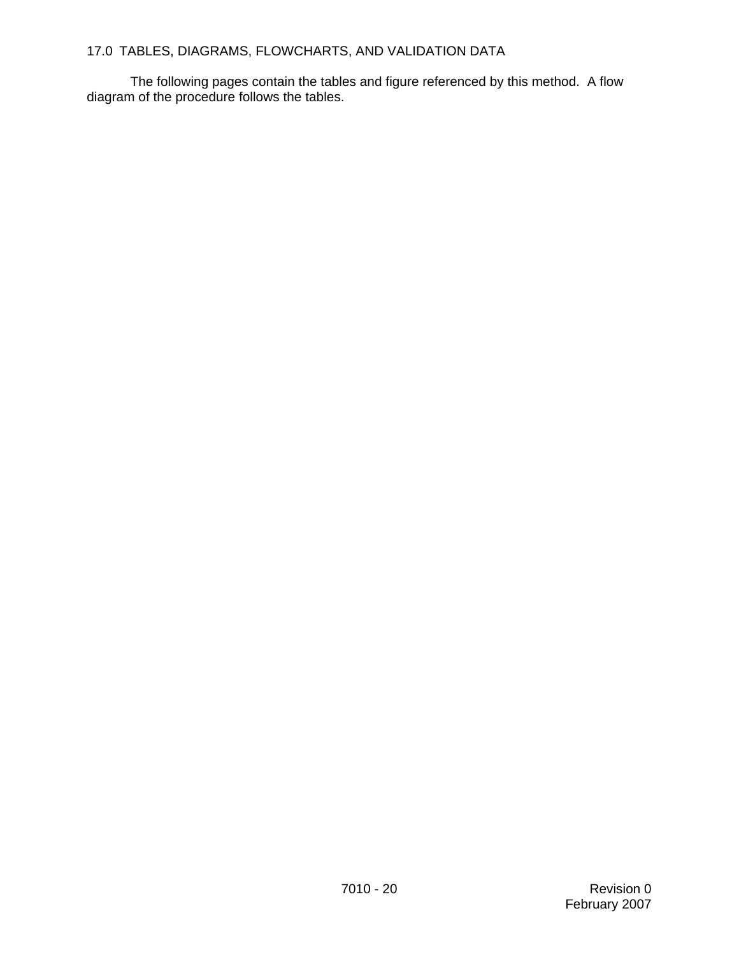# 17.0 TABLES, DIAGRAMS, FLOWCHARTS, AND VALIDATION DATA

The following pages contain the tables and figure referenced by this method. A flow diagram of the procedure follows the tables.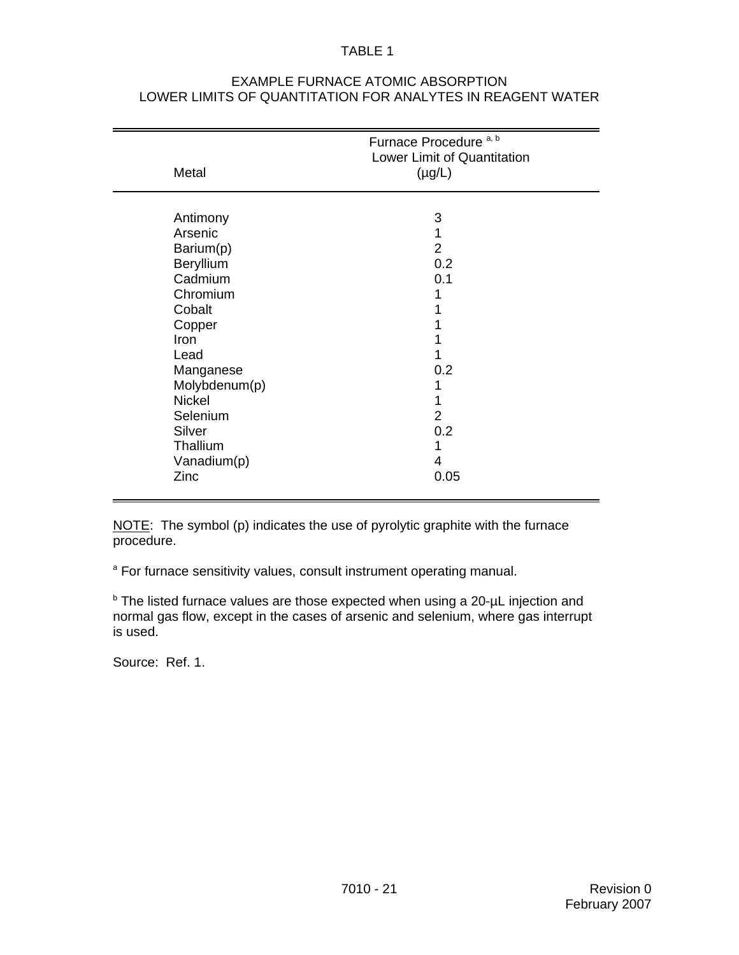#### TABLE 1

| Metal                                                                                                                                                                                                    | Furnace Procedure <sup>a, b</sup><br>Lower Limit of Quantitation<br>$(\mu g/L)$ |  |
|----------------------------------------------------------------------------------------------------------------------------------------------------------------------------------------------------------|---------------------------------------------------------------------------------|--|
| Antimony<br>Arsenic<br>Barium(p)<br>Beryllium<br>Cadmium<br>Chromium<br>Cobalt<br>Copper<br>Iron<br>Lead<br>Manganese<br>Molybdenum(p)<br><b>Nickel</b><br>Selenium<br>Silver<br>Thallium<br>Vanadium(p) | 3<br>2<br>0.2<br>0.1<br>0.2<br>2<br>0.2<br>4                                    |  |
| Zinc                                                                                                                                                                                                     | 0.05                                                                            |  |

#### EXAMPLE FURNACE ATOMIC ABSORPTION LOWER LIMITS OF QUANTITATION FOR ANALYTES IN REAGENT WATER

NOTE: The symbol (p) indicates the use of pyrolytic graphite with the furnace procedure.

<sup>a</sup> For furnace sensitivity values, consult instrument operating manual.

**b** The listed furnace values are those expected when using a 20-µL injection and normal gas flow, except in the cases of arsenic and selenium, where gas interrupt is used.

Source: Ref. 1.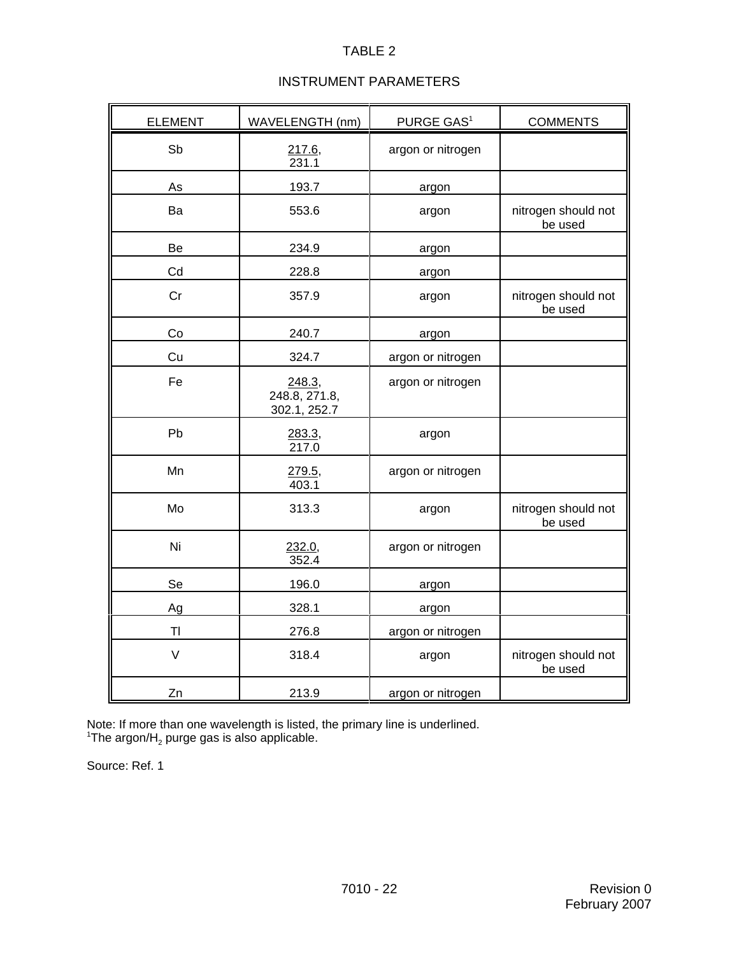## TABLE 2

# INSTRUMENT PARAMETERS

| <b>ELEMENT</b> | WAVELENGTH (nm)                         | PURGE GAS <sup>1</sup> | <b>COMMENTS</b>                |
|----------------|-----------------------------------------|------------------------|--------------------------------|
| Sb             | 217.6<br>231.1                          | argon or nitrogen      |                                |
| As             | 193.7                                   | argon                  |                                |
| Ba             | 553.6                                   | argon                  | nitrogen should not<br>be used |
| Be             | 234.9                                   | argon                  |                                |
| Cd             | 228.8                                   | argon                  |                                |
| Cr             | 357.9                                   | argon                  | nitrogen should not<br>be used |
| Co             | 240.7                                   | argon                  |                                |
| Cu             | 324.7                                   | argon or nitrogen      |                                |
| Fe             | 248.3,<br>248.8, 271.8,<br>302.1, 252.7 | argon or nitrogen      |                                |
| Pb             | 283.3,<br>217.0                         | argon                  |                                |
| Mn             | 279.5,<br>403.1                         | argon or nitrogen      |                                |
| Mo             | 313.3                                   | argon                  | nitrogen should not<br>be used |
| Ni             | 232.0,<br>352.4                         | argon or nitrogen      |                                |
| Se             | 196.0                                   | argon                  |                                |
| Ag             | 328.1                                   | argon                  |                                |
| T <sub>l</sub> | 276.8                                   | argon or nitrogen      |                                |
| $\vee$         | 318.4                                   | argon                  | nitrogen should not<br>be used |
| Zn             | 213.9                                   | argon or nitrogen      |                                |

Note: If more than one wavelength is listed, the primary line is underlined.<br><sup>1</sup>The argon/H<sub>2</sub> purge gas is also applicable.

Source: Ref. 1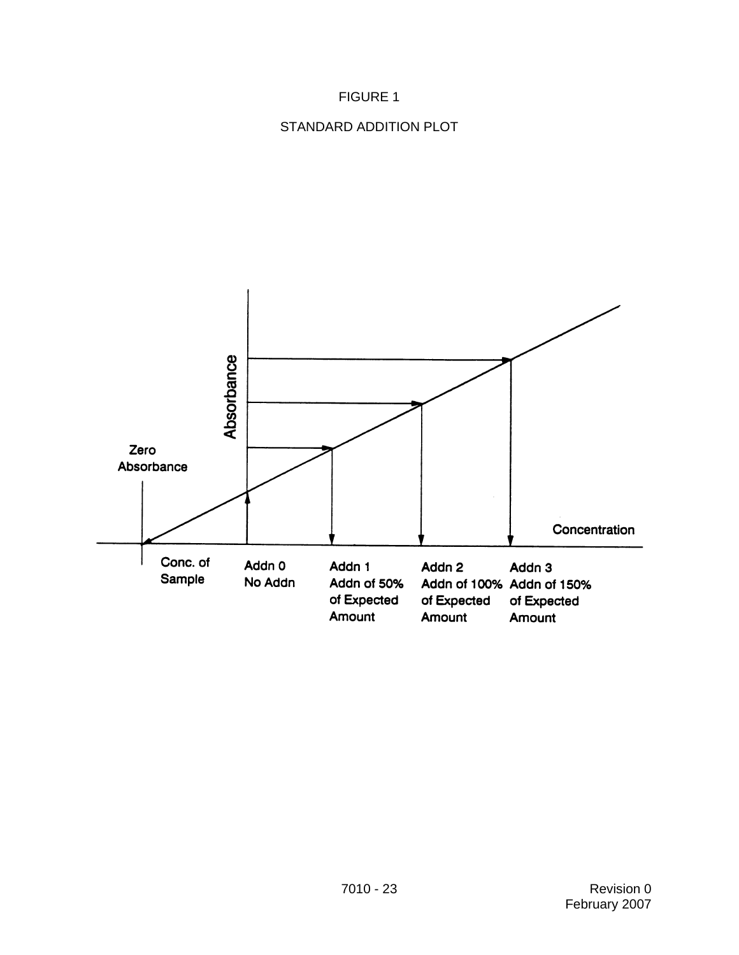# FIGURE 1

## STANDARD ADDITION PLOT